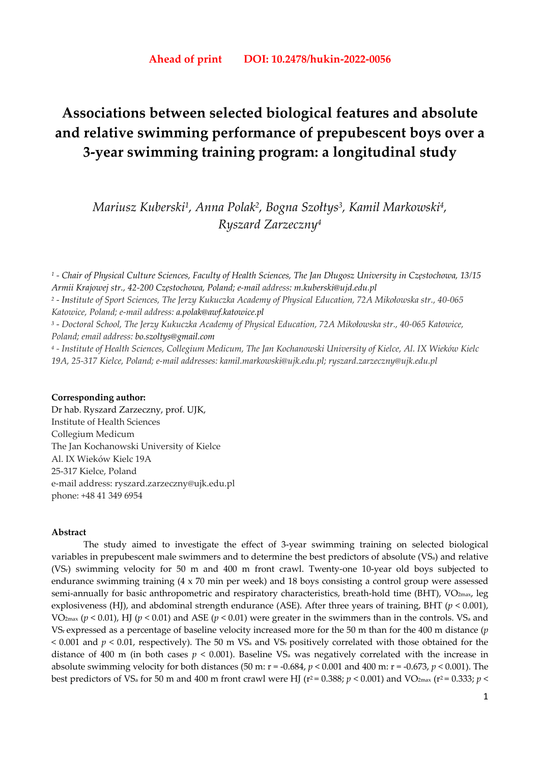# **Associations between selected biological features and absolute and relative swimming performance of prepubescent boys over a 3-year swimming training program: a longitudinal study**

*Mariusz Kuberski1, Anna Polak2, Bogna Szołtys3, Kamil Markowski4, Ryszard Zarzeczny4*

*1 - Chair of Physical Culture Sciences, Faculty of Health Sciences, The Jan Długosz University in Częstochowa, 13/15 Armii Krajowej str., 42-200 Częstochowa, Poland; e-mail address: m.kuberski@ujd.edu.pl 2 - Institute of Sport Sciences, The Jerzy Kukuczka Academy of Physical Education, 72A Mikołowska str., 40-065 Katowice, Poland; e-mail address: a.polak@awf.katowice.pl 3 - Doctoral School, The Jerzy Kukuczka Academy of Physical Education, 72A Mikołowska str., 40-065 Katowice, Poland; email address: bo.szoltys@gmail.com 4 - Institute of Health Sciences, Collegium Medicum, The Jan Kochanowski University of Kielce, Al. IX Wieków Kielc* 

*19A, 25-317 Kielce, Poland; e-mail addresses: kamil.markowski@ujk.edu.pl; ryszard.zarzeczny@ujk.edu.pl* 

## **Corresponding author:**

Dr hab. Ryszard Zarzeczny, prof. UJK, Institute of Health Sciences Collegium Medicum The Jan Kochanowski University of Kielce Al. IX Wieków Kielc 19A 25-317 Kielce, Poland e-mail address: ryszard.zarzeczny@ujk.edu.pl phone: +48 41 349 6954

# **Abstract**

The study aimed to investigate the effect of 3-year swimming training on selected biological variables in prepubescent male swimmers and to determine the best predictors of absolute (VSa) and relative (VSr) swimming velocity for 50 m and 400 m front crawl. Twenty-one 10-year old boys subjected to endurance swimming training (4 x 70 min per week) and 18 boys consisting a control group were assessed semi-annually for basic anthropometric and respiratory characteristics, breath-hold time (BHT), VO<sub>2max</sub>, leg explosiveness (HJ), and abdominal strength endurance (ASE). After three years of training, BHT (*p* < 0.001), VO2max (*p* < 0.01), HJ (*p* < 0.01) and ASE (*p* < 0.01) were greater in the swimmers than in the controls. VSa and VSr expressed as a percentage of baseline velocity increased more for the 50 m than for the 400 m distance (*p*  $\leq$  0.001 and  $p \leq 0.01$ , respectively). The 50 m VS<sub>a</sub> and VS<sub>r</sub> positively correlated with those obtained for the distance of 400 m (in both cases  $p < 0.001$ ). Baseline VS<sub>a</sub> was negatively correlated with the increase in absolute swimming velocity for both distances (50 m: r = -0.684, *p* < 0.001 and 400 m: r = -0.673, *p* < 0.001). The best predictors of VS<sub>a</sub> for 50 m and 400 m front crawl were HJ ( $r^2$  = 0.388;  $p$  < 0.001) and VO<sub>2max</sub> ( $r^2$  = 0.333;  $p$  <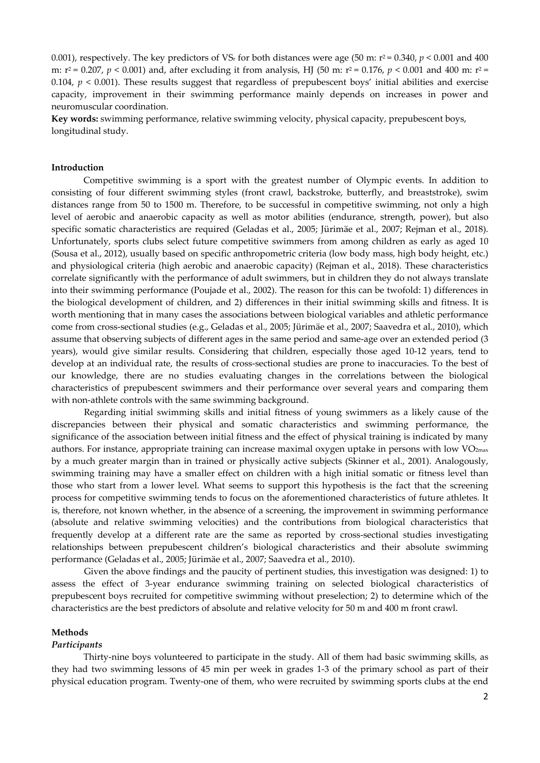0.001), respectively. The key predictors of VS<sub>r</sub> for both distances were age (50 m;  $r^2 = 0.340$ ,  $p < 0.001$  and 400 m: r2 = 0.207, *p* < 0.001) and, after excluding it from analysis, HJ (50 m: r2 = 0.176, *p* < 0.001 and 400 m: r2 = 0.104,  $p < 0.001$ ). These results suggest that regardless of prepubescent boys' initial abilities and exercise capacity, improvement in their swimming performance mainly depends on increases in power and neuromuscular coordination.

**Key words:** swimming performance, relative swimming velocity, physical capacity, prepubescent boys, longitudinal study.

# **Introduction**

Competitive swimming is a sport with the greatest number of Olympic events. In addition to consisting of four different swimming styles (front crawl, backstroke, butterfly, and breaststroke), swim distances range from 50 to 1500 m. Therefore, to be successful in competitive swimming, not only a high level of aerobic and anaerobic capacity as well as motor abilities (endurance, strength, power), but also specific somatic characteristics are required (Geladas et al., 2005; Jürimäe et al., 2007; Rejman et al., 2018). Unfortunately, sports clubs select future competitive swimmers from among children as early as aged 10 (Sousa et al., 2012), usually based on specific anthropometric criteria (low body mass, high body height, etc.) and physiological criteria (high aerobic and anaerobic capacity) (Rejman et al., 2018). These characteristics correlate significantly with the performance of adult swimmers, but in children they do not always translate into their swimming performance (Poujade et al., 2002). The reason for this can be twofold: 1) differences in the biological development of children, and 2) differences in their initial swimming skills and fitness. It is worth mentioning that in many cases the associations between biological variables and athletic performance come from cross-sectional studies (e.g., Geladas et al., 2005; Jürimäe et al., 2007; Saavedra et al., 2010), which assume that observing subjects of different ages in the same period and same-age over an extended period (3 years), would give similar results. Considering that children, especially those aged 10-12 years, tend to develop at an individual rate, the results of cross-sectional studies are prone to inaccuracies. To the best of our knowledge, there are no studies evaluating changes in the correlations between the biological characteristics of prepubescent swimmers and their performance over several years and comparing them with non-athlete controls with the same swimming background.

Regarding initial swimming skills and initial fitness of young swimmers as a likely cause of the discrepancies between their physical and somatic characteristics and swimming performance, the significance of the association between initial fitness and the effect of physical training is indicated by many authors. For instance, appropriate training can increase maximal oxygen uptake in persons with low  $VO_{2max}$ by a much greater margin than in trained or physically active subjects (Skinner et al., 2001). Analogously, swimming training may have a smaller effect on children with a high initial somatic or fitness level than those who start from a lower level. What seems to support this hypothesis is the fact that the screening process for competitive swimming tends to focus on the aforementioned characteristics of future athletes*.* It is, therefore, not known whether, in the absence of a screening, the improvement in swimming performance (absolute and relative swimming velocities) and the contributions from biological characteristics that frequently develop at a different rate are the same as reported by cross-sectional studies investigating relationships between prepubescent children's biological characteristics and their absolute swimming performance (Geladas et al., 2005; Jürimäe et al., 2007; Saavedra et al., 2010).

Given the above findings and the paucity of pertinent studies, this investigation was designed: 1) to assess the effect of 3-year endurance swimming training on selected biological characteristics of prepubescent boys recruited for competitive swimming without preselection; 2) to determine which of the characteristics are the best predictors of absolute and relative velocity for 50 m and 400 m front crawl.

### **Methods**

#### *Participants*

 Thirty-nine boys volunteered to participate in the study. All of them had basic swimming skills, as they had two swimming lessons of 45 min per week in grades 1-3 of the primary school as part of their physical education program. Twenty-one of them, who were recruited by swimming sports clubs at the end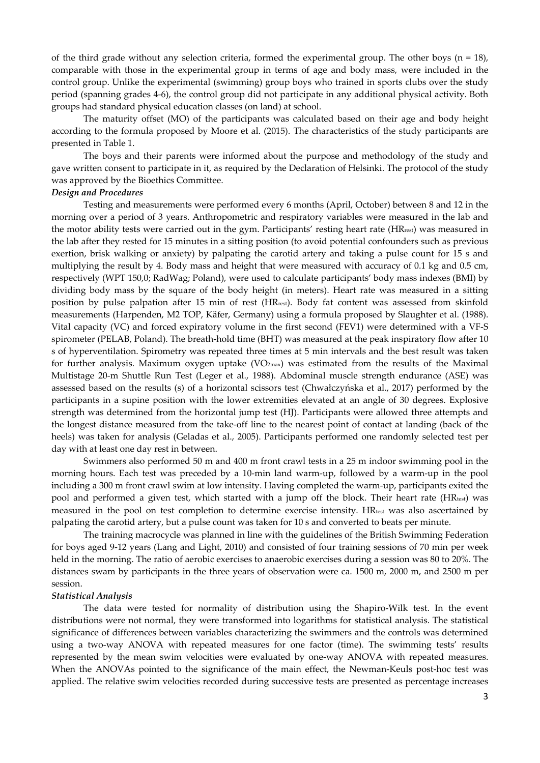of the third grade without any selection criteria, formed the experimental group. The other boys  $(n = 18)$ , comparable with those in the experimental group in terms of age and body mass, were included in the control group. Unlike the experimental (swimming) group boys who trained in sports clubs over the study period (spanning grades 4-6), the control group did not participate in any additional physical activity. Both groups had standard physical education classes (on land) at school.

The maturity offset (MO) of the participants was calculated based on their age and body height according to the formula proposed by Moore et al. (2015). The characteristics of the study participants are presented in Table 1.

 The boys and their parents were informed about the purpose and methodology of the study and gave written consent to participate in it, as required by the Declaration of Helsinki. The protocol of the study was approved by the Bioethics Committee.

# *Design and Procedures*

Testing and measurements were performed every 6 months (April, October) between 8 and 12 in the morning over a period of 3 years. Anthropometric and respiratory variables were measured in the lab and the motor ability tests were carried out in the gym. Participants' resting heart rate (HRrest) was measured in the lab after they rested for 15 minutes in a sitting position (to avoid potential confounders such as previous exertion, brisk walking or anxiety) by palpating the carotid artery and taking a pulse count for 15 s and multiplying the result by 4. Body mass and height that were measured with accuracy of 0.1 kg and 0.5 cm, respectively (WPT 150,0; RadWag; Poland), were used to calculate participants' body mass indexes (BMI) by dividing body mass by the square of the body height (in meters). Heart rate was measured in a sitting position by pulse palpation after 15 min of rest (HRrest). Body fat content was assessed from skinfold measurements (Harpenden, M2 TOP, Käfer, Germany) using a formula proposed by Slaughter et al. (1988). Vital capacity (VC) and forced expiratory volume in the first second (FEV1) were determined with a VF-S spirometer (PELAB, Poland). The breath-hold time (BHT) was measured at the peak inspiratory flow after 10 s of hyperventilation. Spirometry was repeated three times at 5 min intervals and the best result was taken for further analysis. Maximum oxygen uptake  $(VO<sub>2max</sub>)$  was estimated from the results of the Maximal Multistage 20-m Shuttle Run Test (Leger et al., 1988). Abdominal muscle strength endurance (ASE) was assessed based on the results (s) of a horizontal scissors test (Chwałczyńska et al., 2017) performed by the participants in a supine position with the lower extremities elevated at an angle of 30 degrees. Explosive strength was determined from the horizontal jump test (HJ). Participants were allowed three attempts and the longest distance measured from the take-off line to the nearest point of contact at landing (back of the heels) was taken for analysis (Geladas et al., 2005). Participants performed one randomly selected test per day with at least one day rest in between.

Swimmers also performed 50 m and 400 m front crawl tests in a 25 m indoor swimming pool in the morning hours. Each test was preceded by a 10-min land warm-up, followed by a warm-up in the pool including a 300 m front crawl swim at low intensity. Having completed the warm-up, participants exited the pool and performed a given test, which started with a jump off the block. Their heart rate ( $HR_{test}$ ) was measured in the pool on test completion to determine exercise intensity. HRtest was also ascertained by palpating the carotid artery, but a pulse count was taken for 10 s and converted to beats per minute.

The training macrocycle was planned in line with the guidelines of the British Swimming Federation for boys aged 9-12 years (Lang and Light, 2010) and consisted of four training sessions of 70 min per week held in the morning. The ratio of aerobic exercises to anaerobic exercises during a session was 80 to 20%. The distances swam by participants in the three years of observation were ca. 1500 m, 2000 m, and 2500 m per session.

#### *Statistical Analysis*

The data were tested for normality of distribution using the Shapiro-Wilk test. In the event distributions were not normal, they were transformed into logarithms for statistical analysis. The statistical significance of differences between variables characterizing the swimmers and the controls was determined using a two-way ANOVA with repeated measures for one factor (time). The swimming tests' results represented by the mean swim velocities were evaluated by one-way ANOVA with repeated measures. When the ANOVAs pointed to the significance of the main effect, the Newman-Keuls post-hoc test was applied. The relative swim velocities recorded during successive tests are presented as percentage increases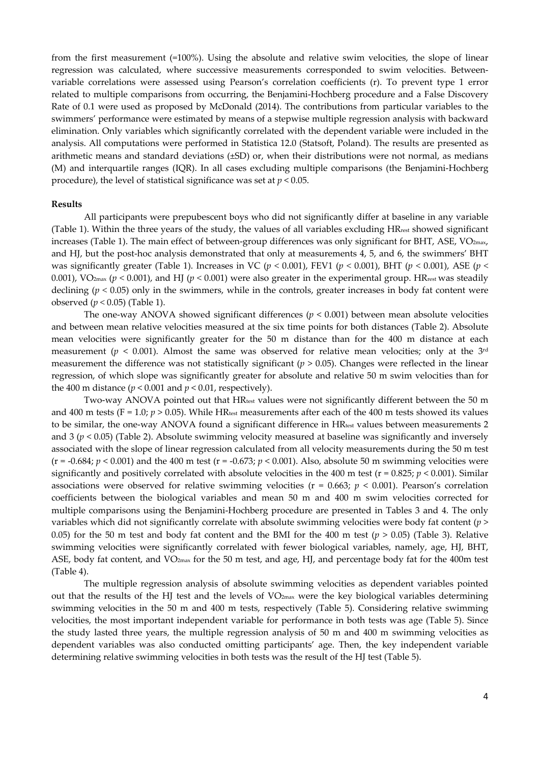from the first measurement (=100%). Using the absolute and relative swim velocities, the slope of linear regression was calculated, where successive measurements corresponded to swim velocities. Betweenvariable correlations were assessed using Pearson's correlation coefficients (r). To prevent type 1 error related to multiple comparisons from occurring, the Benjamini-Hochberg procedure and a False Discovery Rate of 0.1 were used as proposed by McDonald (2014). The contributions from particular variables to the swimmers' performance were estimated by means of a stepwise multiple regression analysis with backward elimination. Only variables which significantly correlated with the dependent variable were included in the analysis. All computations were performed in Statistica 12.0 (Statsoft, Poland). The results are presented as arithmetic means and standard deviations (±SD) or, when their distributions were not normal, as medians (M) and interquartile ranges (IQR). In all cases excluding multiple comparisons (the Benjamini-Hochberg procedure), the level of statistical significance was set at *p* < 0.05.

### **Results**

All participants were prepubescent boys who did not significantly differ at baseline in any variable (Table 1). Within the three years of the study, the values of all variables excluding HRrest showed significant increases (Table 1). The main effect of between-group differences was only significant for BHT, ASE, VO<sub>2max</sub>, and HJ, but the post-hoc analysis demonstrated that only at measurements 4, 5, and 6, the swimmers' BHT was significantly greater (Table 1). Increases in VC ( $p < 0.001$ ), FEV1 ( $p < 0.001$ ), BHT ( $p < 0.001$ ), ASE ( $p <$ 0.001), VO<sub>2max</sub> ( $p < 0.001$ ), and HJ ( $p < 0.001$ ) were also greater in the experimental group. HR<sub>rest</sub> was steadily declining  $(p < 0.05)$  only in the swimmers, while in the controls, greater increases in body fat content were observed (*p <* 0.05) (Table 1).

The one-way ANOVA showed significant differences  $(p < 0.001)$  between mean absolute velocities and between mean relative velocities measured at the six time points for both distances (Table 2). Absolute mean velocities were significantly greater for the 50 m distance than for the 400 m distance at each measurement ( $p < 0.001$ ). Almost the same was observed for relative mean velocities; only at the 3<sup>rd</sup> measurement the difference was not statistically significant  $(p > 0.05)$ . Changes were reflected in the linear regression, of which slope was significantly greater for absolute and relative 50 m swim velocities than for the 400 m distance  $(p < 0.001$  and  $p < 0.01$ , respectively).

Two-way ANOVA pointed out that HR<sub>test</sub> values were not significantly different between the 50 m and 400 m tests (F = 1.0;  $p > 0.05$ ). While HR<sub>test</sub> measurements after each of the 400 m tests showed its values to be similar, the one-way ANOVA found a significant difference in HR<sub>test</sub> values between measurements 2 and  $3 (p < 0.05)$  (Table 2). Absolute swimming velocity measured at baseline was significantly and inversely associated with the slope of linear regression calculated from all velocity measurements during the 50 m test  $(r = -0.684; p < 0.001)$  and the 400 m test  $(r = -0.673; p < 0.001)$ . Also, absolute 50 m swimming velocities were significantly and positively correlated with absolute velocities in the 400 m test ( $r = 0.825$ ;  $p < 0.001$ ). Similar associations were observed for relative swimming velocities ( $r = 0.663$ ;  $p < 0.001$ ). Pearson's correlation coefficients between the biological variables and mean 50 m and 400 m swim velocities corrected for multiple comparisons using the Benjamini-Hochberg procedure are presented in Tables 3 and 4. The only variables which did not significantly correlate with absolute swimming velocities were body fat content (*p* > 0.05) for the 50 m test and body fat content and the BMI for the 400 m test ( $p > 0.05$ ) (Table 3). Relative swimming velocities were significantly correlated with fewer biological variables, namely, age, HJ, BHT, ASE, body fat content, and VO<sub>2max</sub> for the 50 m test, and age, HJ, and percentage body fat for the 400m test (Table 4).

The multiple regression analysis of absolute swimming velocities as dependent variables pointed out that the results of the HJ test and the levels of VO2max were the key biological variables determining swimming velocities in the 50 m and 400 m tests, respectively (Table 5). Considering relative swimming velocities, the most important independent variable for performance in both tests was age (Table 5). Since the study lasted three years, the multiple regression analysis of 50 m and 400 m swimming velocities as dependent variables was also conducted omitting participants' age. Then, the key independent variable determining relative swimming velocities in both tests was the result of the HJ test (Table 5).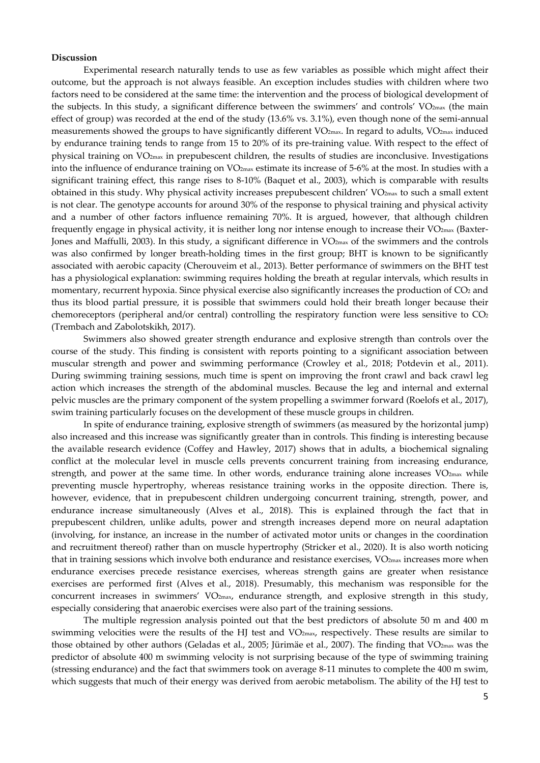#### **Discussion**

 Experimental research naturally tends to use as few variables as possible which might affect their outcome, but the approach is not always feasible. An exception includes studies with children where two factors need to be considered at the same time: the intervention and the process of biological development of the subjects. In this study, a significant difference between the swimmers' and controls' VO<sub>2max</sub> (the main effect of group) was recorded at the end of the study (13.6% vs. 3.1%), even though none of the semi-annual measurements showed the groups to have significantly different VO<sub>2max</sub>. In regard to adults, VO<sub>2max</sub> induced by endurance training tends to range from 15 to 20% of its pre-training value. With respect to the effect of physical training on VO2max in prepubescent children, the results of studies are inconclusive. Investigations into the influence of endurance training on VO<sub>2max</sub> estimate its increase of 5-6% at the most. In studies with a significant training effect, this range rises to 8-10% (Baquet et al., 2003), which is comparable with results obtained in this study. Why physical activity increases prepubescent children' VO<sub>2max</sub> to such a small extent is not clear. The genotype accounts for around 30% of the response to physical training and physical activity and a number of other factors influence remaining 70%. It is argued, however, that although children frequently engage in physical activity, it is neither long nor intense enough to increase their VO2max (Baxter-Jones and Maffulli, 2003). In this study, a significant difference in VO<sub>2max</sub> of the swimmers and the controls was also confirmed by longer breath-holding times in the first group; BHT is known to be significantly associated with aerobic capacity (Cherouveim et al., 2013). Better performance of swimmers on the BHT test has a physiological explanation: swimming requires holding the breath at regular intervals, which results in momentary, recurrent hypoxia. Since physical exercise also significantly increases the production of CO<sub>2</sub> and thus its blood partial pressure, it is possible that swimmers could hold their breath longer because their chemoreceptors (peripheral and/or central) controlling the respiratory function were less sensitive to CO<sub>2</sub> (Trembach and Zabolotskikh, 2017).

 Swimmers also showed greater strength endurance and explosive strength than controls over the course of the study. This finding is consistent with reports pointing to a significant association between muscular strength and power and swimming performance (Crowley et al., 2018; Potdevin et al., 2011). During swimming training sessions, much time is spent on improving the front crawl and back crawl leg action which increases the strength of the abdominal muscles. Because the leg and internal and external pelvic muscles are the primary component of the system propelling a swimmer forward (Roelofs et al., 2017), swim training particularly focuses on the development of these muscle groups in children.

In spite of endurance training, explosive strength of swimmers (as measured by the horizontal jump) also increased and this increase was significantly greater than in controls. This finding is interesting because the available research evidence (Coffey and Hawley, 2017) shows that in adults, a biochemical signaling conflict at the molecular level in muscle cells prevents concurrent training from increasing endurance, strength, and power at the same time. In other words, endurance training alone increases  $VO_{2max}$  while preventing muscle hypertrophy, whereas resistance training works in the opposite direction. There is, however, evidence, that in prepubescent children undergoing concurrent training, strength, power, and endurance increase simultaneously (Alves et al., 2018). This is explained through the fact that in prepubescent children, unlike adults, power and strength increases depend more on neural adaptation (involving, for instance, an increase in the number of activated motor units or changes in the coordination and recruitment thereof) rather than on muscle hypertrophy (Stricker et al., 2020). It is also worth noticing that in training sessions which involve both endurance and resistance exercises,  $VO_{2max}$  increases more when endurance exercises precede resistance exercises, whereas strength gains are greater when resistance exercises are performed first (Alves et al., 2018). Presumably, this mechanism was responsible for the concurrent increases in swimmers' VO2max, endurance strength, and explosive strength in this study, especially considering that anaerobic exercises were also part of the training sessions.

 The multiple regression analysis pointed out that the best predictors of absolute 50 m and 400 m swimming velocities were the results of the HJ test and VO2max, respectively. These results are similar to those obtained by other authors (Geladas et al., 2005; Jürimäe et al., 2007). The finding that VO2max was the predictor of absolute 400 m swimming velocity is not surprising because of the type of swimming training (stressing endurance) and the fact that swimmers took on average 8-11 minutes to complete the 400 m swim, which suggests that much of their energy was derived from aerobic metabolism. The ability of the HJ test to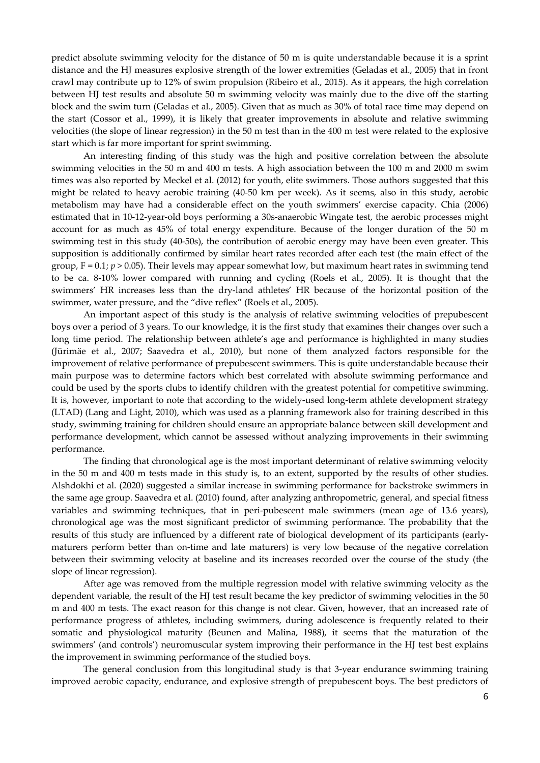predict absolute swimming velocity for the distance of 50 m is quite understandable because it is a sprint distance and the HJ measures explosive strength of the lower extremities (Geladas et al., 2005) that in front crawl may contribute up to 12% of swim propulsion (Ribeiro et al., 2015). As it appears, the high correlation between HJ test results and absolute 50 m swimming velocity was mainly due to the dive off the starting block and the swim turn (Geladas et al., 2005). Given that as much as 30% of total race time may depend on the start (Cossor et al., 1999), it is likely that greater improvements in absolute and relative swimming velocities (the slope of linear regression) in the 50 m test than in the 400 m test were related to the explosive start which is far more important for sprint swimming.

 An interesting finding of this study was the high and positive correlation between the absolute swimming velocities in the 50 m and 400 m tests. A high association between the 100 m and 2000 m swim times was also reported by Meckel et al. (2012) for youth, elite swimmers. Those authors suggested that this might be related to heavy aerobic training (40-50 km per week). As it seems, also in this study, aerobic metabolism may have had a considerable effect on the youth swimmers' exercise capacity. Chia (2006) estimated that in 10-12-year-old boys performing a 30s-anaerobic Wingate test, the aerobic processes might account for as much as 45% of total energy expenditure. Because of the longer duration of the 50 m swimming test in this study (40-50s), the contribution of aerobic energy may have been even greater. This supposition is additionally confirmed by similar heart rates recorded after each test (the main effect of the group,  $F = 0.1$ ;  $p > 0.05$ ). Their levels may appear somewhat low, but maximum heart rates in swimming tend to be ca. 8-10% lower compared with running and cycling (Roels et al., 2005). It is thought that the swimmers' HR increases less than the dry-land athletes' HR because of the horizontal position of the swimmer, water pressure, and the "dive reflex" (Roels et al., 2005).

 An important aspect of this study is the analysis of relative swimming velocities of prepubescent boys over a period of 3 years. To our knowledge, it is the first study that examines their changes over such a long time period. The relationship between athlete's age and performance is highlighted in many studies (Jürimäe et al., 2007; Saavedra et al., 2010), but none of them analyzed factors responsible for the improvement of relative performance of prepubescent swimmers. This is quite understandable because their main purpose was to determine factors which best correlated with absolute swimming performance and could be used by the sports clubs to identify children with the greatest potential for competitive swimming. It is, however, important to note that according to the widely-used long-term athlete development strategy (LTAD) (Lang and Light, 2010), which was used as a planning framework also for training described in this study, swimming training for children should ensure an appropriate balance between skill development and performance development, which cannot be assessed without analyzing improvements in their swimming performance.

The finding that chronological age is the most important determinant of relative swimming velocity in the 50 m and 400 m tests made in this study is, to an extent, supported by the results of other studies. Alshdokhi et al. (2020) suggested a similar increase in swimming performance for backstroke swimmers in the same age group. Saavedra et al. (2010) found, after analyzing anthropometric, general, and special fitness variables and swimming techniques, that in peri-pubescent male swimmers (mean age of 13.6 years), chronological age was the most significant predictor of swimming performance. The probability that the results of this study are influenced by a different rate of biological development of its participants (earlymaturers perform better than on-time and late maturers) is very low because of the negative correlation between their swimming velocity at baseline and its increases recorded over the course of the study (the slope of linear regression).

After age was removed from the multiple regression model with relative swimming velocity as the dependent variable, the result of the HJ test result became the key predictor of swimming velocities in the 50 m and 400 m tests. The exact reason for this change is not clear. Given, however, that an increased rate of performance progress of athletes, including swimmers, during adolescence is frequently related to their somatic and physiological maturity (Beunen and Malina, 1988), it seems that the maturation of the swimmers' (and controls') neuromuscular system improving their performance in the HJ test best explains the improvement in swimming performance of the studied boys.

 The general conclusion from this longitudinal study is that 3-year endurance swimming training improved aerobic capacity, endurance, and explosive strength of prepubescent boys. The best predictors of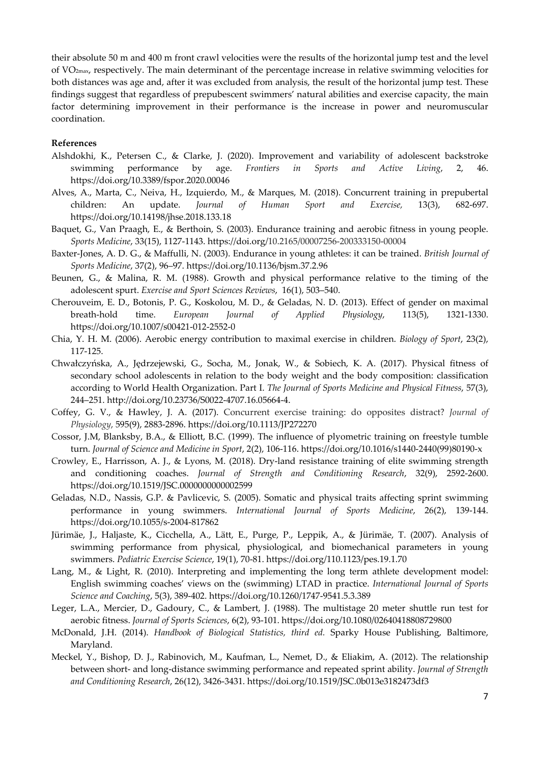their absolute 50 m and 400 m front crawl velocities were the results of the horizontal jump test and the level of VO2max, respectively. The main determinant of the percentage increase in relative swimming velocities for both distances was age and, after it was excluded from analysis, the result of the horizontal jump test. These findings suggest that regardless of prepubescent swimmers' natural abilities and exercise capacity, the main factor determining improvement in their performance is the increase in power and neuromuscular coordination.

# **References**

- Alshdokhi, K., Petersen C., & Clarke, J. (2020). Improvement and variability of adolescent backstroke swimming performance by age. *Frontiers in Sports and Active Living*, 2, 46. https://doi.org/10.3389/fspor.2020.00046
- Alves, A., Marta, C., Neiva, H., Izquierdo, M., & Marques, M. (2018). Concurrent training in prepubertal children: An update. *Journal of Human Sport and Exercise,* 13(3), 682-697. https://doi.org/10.14198/jhse.2018.133.18
- Baquet, G., Van Praagh, E., & Berthoin, S. (2003). Endurance training and aerobic fitness in young people. *Sports Medicine*, 33(15), 1127-1143. https://doi.org/10.2165/00007256-200333150-00004
- Baxter-Jones, A. D. G., & Maffulli, N. (2003). Endurance in young athletes: it can be trained. *British Journal of Sports Medicine*, 37(2), 96–97. https://doi.org/10.1136/bjsm.37.2.96
- Beunen, G., & Malina, R. M. (1988). Growth and physical performance relative to the timing of the adolescent spurt. *Exercise and Sport Sciences Reviews*, 16(1), 503–540.
- Cherouveim, E. D., Botonis, P. G., Koskolou, M. D., & Geladas, N. D. (2013). Effect of gender on maximal breath-hold time. *European Journal of Applied Physiology*, 113(5), 1321-1330. https://doi.org/10.1007/s00421-012-2552-0
- Chia, Y. H. M. (2006). Aerobic energy contribution to maximal exercise in children. *Biology of Sport*, 23(2), 117-125.
- Chwałczyńska, A., Jędrzejewski, G., Socha, M., Jonak, W., & Sobiech, K. A. (2017). Physical fitness of secondary school adolescents in relation to the body weight and the body composition: classification according to World Health Organization. Part I. *The Journal of Sports Medicine and Physical Fitness*, 57(3), 244–251. http://doi.org/10.23736/S0022-4707.16.05664-4.
- Coffey, G. V., & Hawley, J. A. (2017). Concurrent exercise training: do opposites distract? *Journal of Physiology*, 595(9), 2883-2896. https://doi.org/10.1113/JP272270
- Cossor, J.M, Blanksby, B.A., & Elliott, B.C. (1999). The influence of plyometric training on freestyle tumble turn. *Journal of Science and Medicine in Sport*, 2(2), 106-116. https://doi.org/10.1016/s1440-2440(99)80190-x
- Crowley, E., Harrisson, A. J., & Lyons, M. (2018). Dry-land resistance training of elite swimming strength and conditioning coaches. *Journal of Strength and Conditioning Research*, 32(9), 2592-2600. https://doi.org/10.1519/JSC.0000000000002599
- Geladas, N.D., Nassis, G.P. & Pavlicevic, S. (2005). Somatic and physical traits affecting sprint swimming performance in young swimmers. *International Journal of Sports Medicine*, 26(2), 139-144. https://doi.org/10.1055/s-2004-817862
- Jürimäe, J., Haljaste, K., Cicchella, A., Lätt, E., Purge, P., Leppik, A., & Jürimäe, T. (2007). Analysis of swimming performance from physical, physiological, and biomechanical parameters in young swimmers. *Pediatric Exercise Science*, 19(1), 70-81. https://doi.org/110.1123/pes.19.1.70
- Lang, M., & Light, R. (2010). Interpreting and implementing the long term athlete development model: English swimming coaches' views on the (swimming) LTAD in practice. *International Journal of Sports Science and Coaching*, 5(3), 389-402. https://doi.org/10.1260/1747-9541.5.3.389
- Leger, L.A., Mercier, D., Gadoury, C., & Lambert, J. (1988). The multistage 20 meter shuttle run test for aerobic fitness. *Journal of Sports Sciences*, 6(2), 93-101. https://doi.org/10.1080/02640418808729800
- McDonald, J.H. (2014). *Handbook of Biological Statistics, third ed.* Sparky House Publishing, Baltimore, Maryland.
- Meckel, Y., Bishop, D. J., Rabinovich, M., Kaufman, L., Nemet, D., & Eliakim, A. (2012). The relationship between short- and long-distance swimming performance and repeated sprint ability. *Journal of Strength and Conditioning Research*, 26(12), 3426-3431. https://doi.org/10.1519/JSC.0b013e3182473df3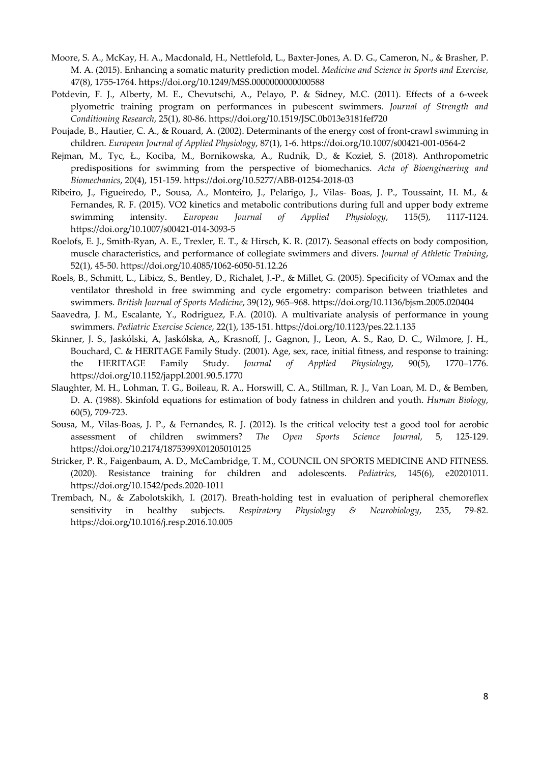- Moore, S. A., McKay, H. A., Macdonald, H., Nettlefold, L., Baxter-Jones, A. D. G., Cameron, N., & Brasher, P. M. A. (2015). Enhancing a somatic maturity prediction model. *Medicine and Science in Sports and Exercise*, 47(8), 1755-1764. https://doi.org/10.1249/MSS.0000000000000588
- Potdevin, F. J., Alberty, M. E., Chevutschi, A., Pelayo, P. & Sidney, M.C. (2011). Effects of a 6-week plyometric training program on performances in pubescent swimmers. *Journal of Strength and Conditioning Research*, 25(1), 80-86. https://doi.org/10.1519/JSC.0b013e3181fef720
- Poujade, B., Hautier, C. A., & Rouard, A. (2002). Determinants of the energy cost of front-crawl swimming in children. *European Journal of Applied Physiology*, 87(1), 1-6. https://doi.org/10.1007/s00421-001-0564-2
- Rejman, M., Tyc, Ł., Kociba, M., Bornikowska, A., Rudnik, D., & Kozieł, S. (2018). Anthropometric predispositions for swimming from the perspective of biomechanics. *Acta of Bioengineering and Biomechanics*, 20(4), 151-159. https://doi.org/10.5277/ABB-01254-2018-03
- Ribeiro, J., Figueiredo, P., Sousa, A., Monteiro, J., Pelarigo, J., Vilas- Boas, J. P., Toussaint, H. M., & Fernandes, R. F. (2015). VO2 kinetics and metabolic contributions during full and upper body extreme swimming intensity. *European Journal of Applied Physiology*, 115(5), 1117-1124. https://doi.org/10.1007/s00421-014-3093-5
- Roelofs, E. J., Smith-Ryan, A. E., Trexler, E. T., & Hirsch, K. R. (2017). Seasonal effects on body composition, muscle characteristics, and performance of collegiate swimmers and divers. *Journal of Athletic Training*, 52(1), 45-50. https://doi.org/10.4085/1062-6050-51.12.26
- Roels, B., Schmitt, L., Libicz, S., Bentley, D., Richalet, J.-P., & Millet, G. (2005). Specificity of VO2max and the ventilator threshold in free swimming and cycle ergometry: comparison between triathletes and swimmers. *British Journal of Sports Medicine*, 39(12), 965–968. https://doi.org/10.1136/bjsm.2005.020404
- Saavedra, J. M., Escalante, Y., Rodriguez, F.A. (2010). A multivariate analysis of performance in young swimmers. *Pediatric Exercise Science*, 22(1), 135-151. https://doi.org/10.1123/pes.22.1.135
- Skinner, J. S., Jaskólski, A, Jaskólska, A,, Krasnoff, J., Gagnon, J., Leon, A. S., Rao, D. C., Wilmore, J. H., Bouchard, C. & HERITAGE Family Study. (2001). Age, sex, race, initial fitness, and response to training: the HERITAGE Family Study. *Journal of Applied Physiology*, 90(5), 1770–1776. https://doi.org/10.1152/jappl.2001.90.5.1770
- Slaughter, M. H., Lohman, T. G., Boileau, R. A., Horswill, C. A., Stillman, R. J., Van Loan, M. D., & Bemben, D. A. (1988). Skinfold equations for estimation of body fatness in children and youth. *Human Biology*, 60(5), 709-723.
- Sousa, M., Vilas-Boas, J. P., & Fernandes, R. J. (2012). Is the critical velocity test a good tool for aerobic assessment of children swimmers? *The Open Sports Science Journal*, 5, 125-129. https://doi.org/10.2174/1875399X01205010125
- Stricker, P. R., Faigenbaum, A. D., McCambridge, T. M., COUNCIL ON SPORTS MEDICINE AND FITNESS. (2020). Resistance training for children and adolescents. *Pediatrics*, 145(6), e20201011. https://doi.org/10.1542/peds.2020-1011
- Trembach, N., & Zabolotskikh, I. (2017). Breath-holding test in evaluation of peripheral chemoreflex sensitivity in healthy subjects. *Respiratory Physiology & Neurobiology*, 235, 79-82. https://doi.org/10.1016/j.resp.2016.10.005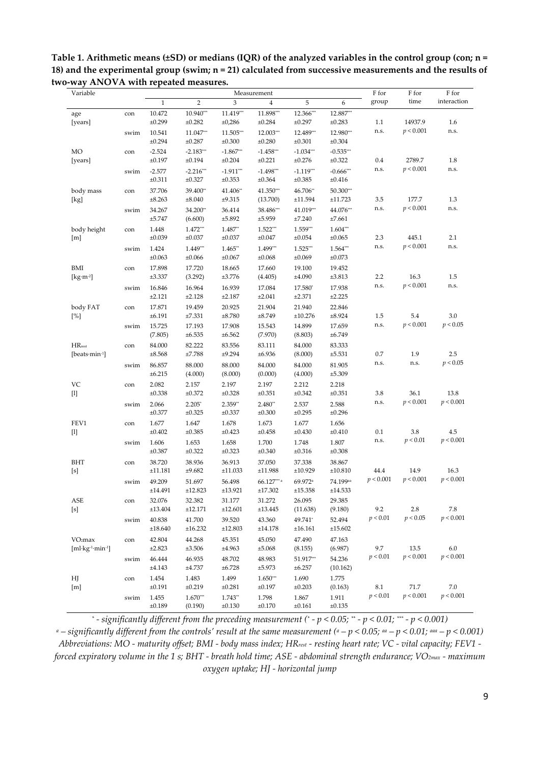**Table 1. Arithmetic means (±SD) or medians (IQR) of the analyzed variables in the control group (con; n = 18) and the experimental group (swim; n = 21) calculated from successive measurements and the results of two-way ANOVA with repeated measures.** 

| Variable                                                            |      |                      |                       |                          | Measurement                         |                                |                                      | F for     | F for     | F for       |
|---------------------------------------------------------------------|------|----------------------|-----------------------|--------------------------|-------------------------------------|--------------------------------|--------------------------------------|-----------|-----------|-------------|
|                                                                     |      | $\,1\,$              | $\sqrt{2}$            | 3                        | $\overline{4}$                      | 5                              | 6                                    | group     | time      | interaction |
| age<br>[years]                                                      | con  | 10.472<br>±0.299     | $10.940***$<br>±0.282 | 11.419***<br>±0,286      | 11.898***<br>±0.284                 | 12.366***<br>±0.297            | 12.887***<br>±0.283                  | 1.1       | 14937.9   | 1.6         |
|                                                                     | swim | 10.541<br>±0.294     | 11.047***<br>±0.287   | 11.505***<br>$\pm 0.300$ | 12.003***<br>±0.280                 | 12.489***<br>±0.301            | 12.980***<br>±0.304                  | n.s.      | p < 0.001 | n.s.        |
| MO<br>[years]                                                       | con  | $-2.524$<br>±0.197   | $-2.183***$<br>±0.194 | $-1.867***$<br>±0.204    | $-1.458***$<br>±0.221               | $-1.034***$<br>±0.276          | $-0.535***$<br>±0.322                | 0.4       | 2789.7    | $1.8\,$     |
|                                                                     | swim | $-2.577$<br>±0.311   | $-2.216***$<br>±0.327 | $-1.911***$<br>±0.353    | $-1.498***$<br>±0.364               | $-1.119***$<br>±0.385          | $-0.666$ ***<br>±0.416               | n.s.      | p < 0.001 | n.s.        |
| body mass<br>[kg]                                                   | con  | 37.706<br>±8.263     | 39.400**<br>±8.040    | 41.406**<br>±9.315       | 41.350***<br>(13.700)               | 46.706**<br>±11.594            | 50.300***<br>±11.723                 | 3.5       | 177.7     | 1.3         |
|                                                                     | swim | 34.267<br>±5.747     | 34.200**<br>(6.600)   | 36.414<br>±5.892         | 38.486***<br>±5.959                 | 41.019**<br>±7.240             | 44.076***<br>±7.661                  | n.s.      | p < 0.001 | n.s.        |
| body height<br>[m]                                                  | con  | 1.448<br>$\pm 0.039$ | 1.472***<br>±0.037    | 1.487**<br>±0.037        | $1.522***$<br>±0.047                | 1.559**<br>±0.054              | $1.604***$<br>±0.065                 | 2.3       | 445.1     | 2.1         |
|                                                                     | swim | 1.424<br>±0.063      | 1.449**<br>±0.066     | $1.465**$<br>±0.067      | 1.499***<br>±0.068                  | $1.525***$<br>±0.069           | 1.564***<br>±0.073                   | n.s.      | p < 0.001 | n.s.        |
| BMI<br>[ $kg·m²$ ]                                                  | con  | 17.898<br>±3.337     | 17.720<br>(3.292)     | 18.665<br>±3.776         | 17.660<br>(4.405)                   | 19.100<br>±4.090               | 19.452<br>±3.813                     | 2.2       | 16.3      | $1.5\,$     |
|                                                                     | swim | 16.846<br>±2.121     | 16.964<br>±2.128      | 16.939<br>±2.187         | 17.084<br>±2.041                    | 17.580*<br>±2.371              | 17.938<br>±2.225                     | n.s.      | p < 0.001 | n.s.        |
| body FAT<br>[%]                                                     | con  | 17.871<br>±6.191     | 19.459<br>±7.331      | 20.925<br>±8.780         | 21.904<br>±8.749                    | 21.940<br>±10.276              | 22.846<br>±8.924                     | 1.5       | 5.4       | 3.0         |
|                                                                     | swim | 15.725<br>(7.805)    | 17.193<br>±6.535      | 17.908<br>±6.562         | 15.543<br>(7.970)                   | 14.899<br>(8.803)              | 17.659<br>±6.749                     | n.s.      | p < 0.001 | p < 0.05    |
| $HR_{rest}$<br>[beats·min-1]                                        | con  | 84.000<br>±8.568     | 82.222<br>±7.788      | 83.556<br>±9.294         | 83.111<br>±6.936                    | 84.000<br>(8.000)              | 83.333<br>±5.531                     | $0.7\,$   | 1.9       | 2.5         |
|                                                                     | swim | 86.857<br>±6.215     | 88.000<br>(4.000)     | 88.000<br>(8.000)        | 84.000<br>(0.000)                   | 84.000<br>(4.000)              | 81.905<br>±5.309                     | n.s.      | n.s.      | p < 0.05    |
| VC                                                                  | con  | 2.082<br>±0.338      | 2.157<br>±0.372       | 2.197<br>±0.328          | 2.197<br>±0.351                     | 2.212<br>±0.342                | 2.218<br>±0.351                      | 3.8       | 36.1      | 13.8        |
|                                                                     | swim | 2.066<br>±0.377      | $2.205*$<br>±0.325    | 2.359**<br>±0.337        | 2.480**<br>±0.300                   | 2.537<br>±0.295                | 2.588<br>±0.296                      | n.s.      | p < 0.001 | p < 0.001   |
| FEV1                                                                | con  | 1.677<br>±0.402      | 1.647<br>±0.385       | 1.678<br>±0.423          | 1.673<br>$\pm 0.458$                | 1.677<br>±0.430                | 1.656<br>±0.410                      | $0.1\,$   | 3.8       | 4.5         |
|                                                                     | swim | 1.606<br>±0.387      | 1.653<br>±0.322       | 1.658<br>±0.323          | 1.700<br>±0.340                     | 1.748<br>±0.316                | 1.807<br>±0.308                      | n.s.      | p < 0.01  | p < 0.001   |
| BHT<br>$[s]$                                                        | con  | 38.720<br>±11.181    | 38.936<br>±9.682      | 36.913<br>±11.033        | 37.050<br>±11.988                   | 37.338<br>±10.929              | 38.867<br>±10.810                    | 44.4      | 14.9      | 16.3        |
|                                                                     | swim | 49.209<br>±14.491    | 51.697<br>±12.823     | 56.498<br>±13.921        | $66.127***$ <sup>a</sup><br>±17.302 | 69.972 <sup>a</sup><br>±15.358 | 74.199 <sup>aa</sup><br>$\pm 14.533$ | p < 0.001 | p < 0.001 | p < 0.001   |
| ASE                                                                 | con  | 32.076<br>±13.404    | 32.382<br>±12.171     | 31.177<br>±12.601        | 31.272<br>±13.445                   | 26.095<br>(11.638)             | 29.385<br>(9.180)                    | 9.2       | 2.8       | 7.8         |
|                                                                     | swim | 40.838<br>±18.640    | 41.700<br>±16.232     | 39.520<br>±12.803        | 43.360<br>±14.178                   | 49.741*<br>±16.161             | 52.494<br>±15.602                    | p < 0.01  | p < 0.05  | p < 0.001   |
| VO <sub>2</sub> max<br>$[ml$ ·kg <sup>-1</sup> ·min <sup>-1</sup> ] | con  | 42.804<br>±2.823     | 44.268<br>±3.506      | 45.351<br>±4.963         | 45.050<br>±5.068                    | 47.490<br>(8.155)              | 47.163<br>(6.987)                    | 9.7       | 13.5      | $6.0\,$     |
|                                                                     | swim | 46.444<br>±4.143     | 46.935<br>±4.737      | 48.702<br>±6.728         | 48.983<br>±5.973                    | 51.917***<br>±6.257            | 54.236<br>(10.162)                   | p < 0.01  | p < 0.001 | p < 0.001   |
| ΗJ<br>[m]                                                           | con  | 1.454<br>±0.191      | 1.483<br>±0.219       | 1.499<br>±0.281          | $1.650***$<br>±0.197                | 1.690<br>±0.203                | 1.775<br>(0.163)                     | $8.1\,$   | 71.7      | 7.0         |
|                                                                     | swim | 1.455<br>±0.189      | $1.670***$<br>(0.190) | $1.743**$<br>±0.130      | 1.798<br>±0.170                     | 1.867<br>±0.161                | 1.911<br>±0.135                      | p < 0.01  | p < 0.001 | p < 0.001   |

*\* - significantly different from the preceding measurement (\* - p < 0.05; \*\* - p < 0.01; \*\*\* - p < 0.001)*  <sup>*a*</sup> – significantly different from the controls' result at the same measurement (<sup>*a*</sup> – *p* < 0.05; <sup>*aa*</sup> – *p* < 0.01; <sup>*aaa*</sup> – *p* < 0.001) *Abbreviations: MO - maturity offset; BMI - body mass index; HRrest - resting heart rate; VC - vital capacity; FEV1 forced expiratory volume in the 1 s; BHT - breath hold time; ASE - abdominal strength endurance; VO2max - maximum oxygen uptake; HJ - horizontal jump*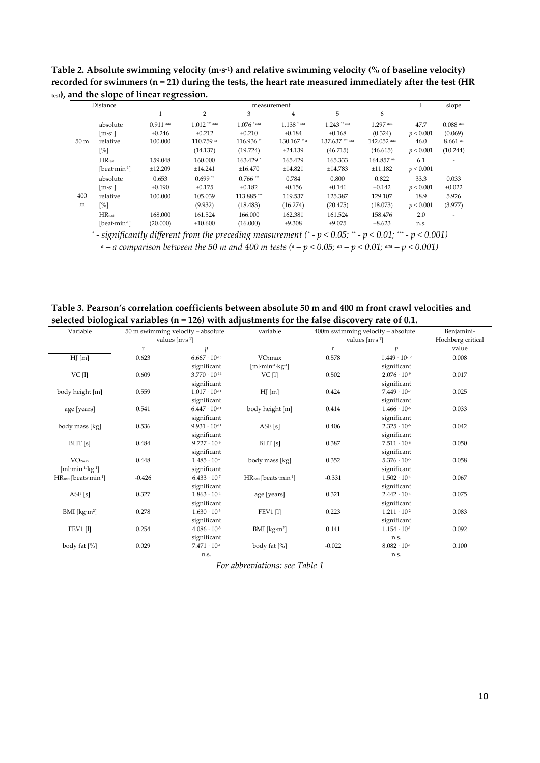**Table 2. Absolute swimming velocity (m∙s-1) and relative swimming velocity (% of baseline velocity) recorded for swimmers (n = 21) during the tests, the heart rate measured immediately after the test (HR test), and the slope of linear regression.** 

|                 |                   | ັ           |                 |               |                |                 |             |           |             |
|-----------------|-------------------|-------------|-----------------|---------------|----------------|-----------------|-------------|-----------|-------------|
| Distance        |                   | measurement |                 |               |                |                 |             |           | slope       |
|                 |                   |             | 2               | 3             | 4              | 5               | 6           |           |             |
|                 | absolute          | $0.911$ aaa | $1.012$ *** aaa | $1.076$ * aaa | $1.138$ * aaa  | $1.243$ ** aaa  | 1.297 aaa   | 47.7      | $0.088$ aaa |
|                 | $[m\cdot s^{-1}]$ | ±0.246      | ±0.212          | ±0.210        | ±0.184         | ±0.168          | (0.324)     | p < 0.001 | (0.069)     |
| 50 <sub>m</sub> | relative          | 100.000     | 110.759 aa      | 116.936**     | $130.167$ ** a | 137.637 *** aaa | 142.052 aaa | 46.0      | $8.661$ aa  |
|                 | [%]               |             | (14.137)        | (19.724)      | ±24.139        | (46.715)        | (46.615)    | p < 0.001 | (10.244)    |
|                 | $HR_{test}$       | 159.048     | 160,000         | 163.429 *     | 165.429        | 165.333         | 164.857 aa  | 6.1       |             |
|                 | $[beat·min-1]$    | ±12.209     | ±14.241         | ±16.470       | ±14.821        | ±14.783         | ±11.182     | p < 0.001 |             |
|                 | absolute          | 0.653       | $0.699**$       | $0.766$ ***   | 0.784          | 0.800           | 0.822       | 33.3      | 0.033       |
|                 | $[m·s-1]$         | ±0.190      | ±0.175          | ±0.182        | ±0.156         | ±0.141          | ±0.142      | p < 0.001 | ±0.022      |
| 400             | relative          | 100.000     | 105.039         | 113.885***    | 119.537        | 125.387         | 129.107     | 18.9      | 5.926       |
| m               | [%]               |             | (9.932)         | (18.483)      | (16.274)       | (20.475)        | (18.073)    | p < 0.001 | (3.977)     |
|                 | $HR_{test}$       | 168,000     | 161.524         | 166,000       | 162.381        | 161.524         | 158.476     | 2.0       |             |
|                 | $[beat·min-1]$    | (20.000)    | ±10,600         | (16.000)      | ±9.308         | ±9.075          | ±8.623      | n.s.      |             |

*\* - significantly different from the preceding measurement (\* - p < 0.05; \*\* - p < 0.01; \*\*\* - p < 0.001) a – a comparison between the 50 m and 400 m tests (a – p < 0.05; aa – p < 0.01; aaa – p < 0.001)* 

**Table 3. Pearson's correlation coefficients between absolute 50 m and 400 m front crawl velocities and selected biological variables (n = 126) with adjustments for the false discovery rate of 0.1.** 

| Variable                         |                           | 50 m swimming velocity - absolute | variable                                  | 400m swimming velocity - absolute | Benjamini-             |       |
|----------------------------------|---------------------------|-----------------------------------|-------------------------------------------|-----------------------------------|------------------------|-------|
|                                  | values $[m \cdot s^{-1}]$ |                                   |                                           | values $[m \cdot s^{-1}]$         | Hochberg critical      |       |
|                                  | $\mathbf r$               | $\boldsymbol{p}$                  |                                           | $\mathbf{r}$                      | p                      | value |
| HJ[m]                            | 0.623                     | $6.667 \cdot 10^{-15}$            | VO <sub>2</sub> max                       | 0.578                             | $1.449 \cdot 10^{-12}$ | 0.008 |
|                                  |                           | significant                       | [ml·min <sup>-1</sup> ·kg <sup>-1</sup> ] |                                   | significant            |       |
| VC [1]                           | 0.609                     | $3.770 \cdot 10^{-14}$            | <b>VC</b> [1]                             | 0.502                             | $2.076 \cdot 10^{-9}$  | 0.017 |
|                                  |                           | significant                       |                                           |                                   | significant            |       |
| body height [m]                  | 0.559                     | $1.017 \cdot 10^{-11}$            | HJ[m]                                     | 0.424                             | $7.449 \cdot 10^{-7}$  | 0.025 |
|                                  |                           | significant                       |                                           |                                   | significant            |       |
| age [years]                      | 0.541                     | $6.447 \cdot 10^{-11}$            | body height [m]                           | 0.414                             | $1.466 \cdot 10^{-6}$  | 0.033 |
|                                  |                           | significant                       |                                           |                                   | significant            |       |
| body mass [kg]                   | 0.536                     | $9.931 \cdot 10^{-11}$            | ASE[s]                                    | 0.406                             | $2.325 \cdot 10^{-6}$  | 0.042 |
|                                  |                           | significant                       |                                           |                                   | significant            |       |
| BHT[s]                           | 0.484                     | $9.727 \cdot 10^{-9}$             | BHT[s]                                    | 0.387                             | $7.511 \cdot 10^{-6}$  | 0.050 |
|                                  |                           | significant                       |                                           |                                   | significant            |       |
| VO <sub>2max</sub>               | 0.448                     | $1.485 \cdot 10^{-7}$             | body mass [kg]                            | 0.352                             | $5.376 \cdot 10^{-5}$  | 0.058 |
| $[ml·min-1·kg-1]$                |                           | significant                       |                                           |                                   | significant            |       |
| HR <sub>rest</sub> [beats·min-1] | $-0.426$                  | $6.433 \cdot 10^{-7}$             | HR <sub>rest</sub> [beats·min-1]          | $-0.331$                          | $1.502 \cdot 10^{-4}$  | 0.067 |
|                                  |                           | significant                       |                                           |                                   | significant            |       |
| ASE[s]                           | 0.327                     | $1.863 \cdot 10^{4}$              | age [years]                               | 0.321                             | $2.442 \cdot 10^{-4}$  | 0.075 |
|                                  |                           | significant                       |                                           |                                   | significant            |       |
| BMI [kg·m <sup>2</sup> ]         | 0.278                     | $1.630 \cdot 10^{-3}$             | <b>FEV1 [1]</b>                           | 0.223                             | $1.211 \cdot 10^{-2}$  | 0.083 |
|                                  |                           | significant                       |                                           |                                   | significant            |       |
| <b>FEV1</b> [1]                  | 0.254                     | $4.086 \cdot 10^{-3}$             | BMI [ $kg·m²$ ]                           | 0.141                             | $1.154 \cdot 10^{-.1}$ | 0.092 |
|                                  |                           | significant                       |                                           |                                   | n.s.                   |       |
| body fat [%]                     | 0.029                     | $7.471 \cdot 10^{-1}$             | body fat [%]                              | $-0.022$                          | $8.082 \cdot 10^{-1}$  | 0.100 |
|                                  |                           | n.s.                              |                                           |                                   | n.s.                   |       |

*For abbreviations: see Table 1*